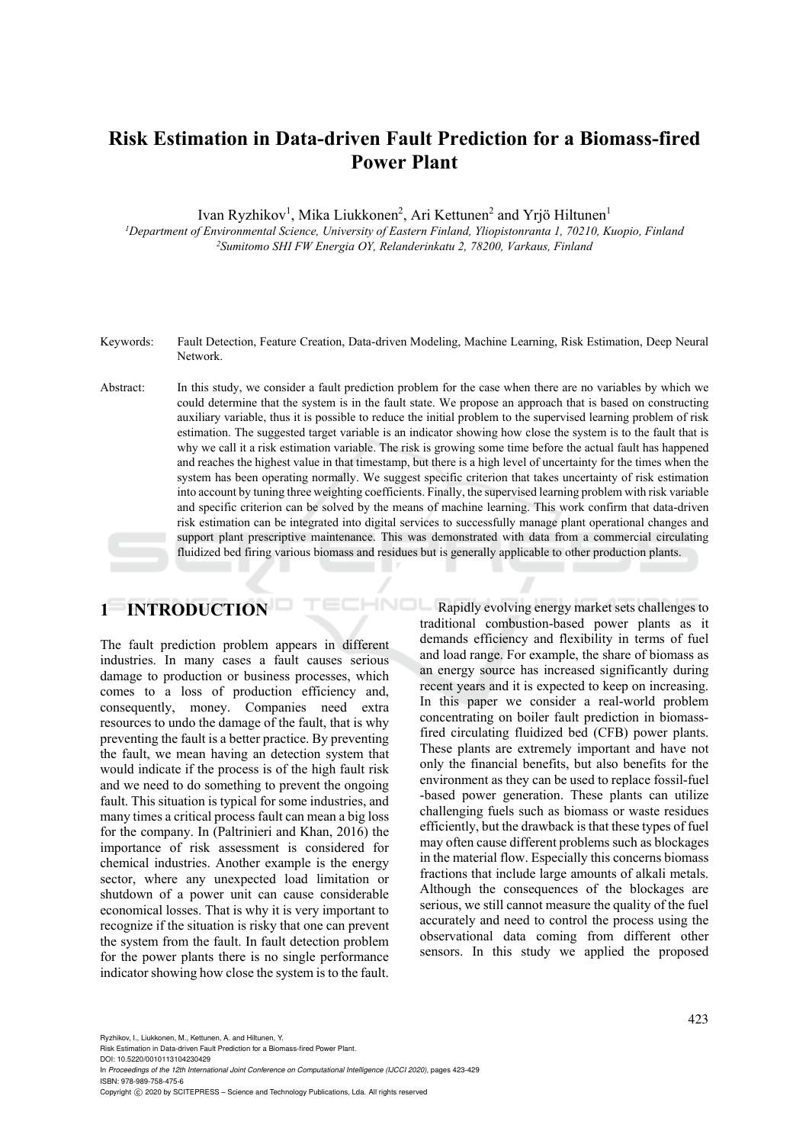# **Risk Estimation in Data-driven Fault Prediction for a Biomass-fired Power Plant**

Ivan Ryzhikov<sup>1</sup>, Mika Liukkonen<sup>2</sup>, Ari Kettunen<sup>2</sup> and Yrjö Hiltunen<sup>1</sup>

*1Department of Environmental Science, University of Eastern Finland, Yliopistonranta 1, 70210, Kuopio, Finland 2Sumitomo SHI FW Energia OY, Relanderinkatu 2, 78200, Varkaus, Finland* 

- Keywords: Fault Detection, Feature Creation, Data-driven Modeling, Machine Learning, Risk Estimation, Deep Neural Network.
- Abstract: In this study, we consider a fault prediction problem for the case when there are no variables by which we could determine that the system is in the fault state. We propose an approach that is based on constructing auxiliary variable, thus it is possible to reduce the initial problem to the supervised learning problem of risk estimation. The suggested target variable is an indicator showing how close the system is to the fault that is why we call it a risk estimation variable. The risk is growing some time before the actual fault has happened and reaches the highest value in that timestamp, but there is a high level of uncertainty for the times when the system has been operating normally. We suggest specific criterion that takes uncertainty of risk estimation into account by tuning three weighting coefficients. Finally, the supervised learning problem with risk variable and specific criterion can be solved by the means of machine learning. This work confirm that data-driven risk estimation can be integrated into digital services to successfully manage plant operational changes and support plant prescriptive maintenance. This was demonstrated with data from a commercial circulating fluidized bed firing various biomass and residues but is generally applicable to other production plants.

# **1 INTRODUCTION**

The fault prediction problem appears in different industries. In many cases a fault causes serious damage to production or business processes, which comes to a loss of production efficiency and, consequently, money. Companies need extra resources to undo the damage of the fault, that is why preventing the fault is a better practice. By preventing the fault, we mean having an detection system that would indicate if the process is of the high fault risk and we need to do something to prevent the ongoing fault. This situation is typical for some industries, and many times a critical process fault can mean a big loss for the company. In (Paltrinieri and Khan, 2016) the importance of risk assessment is considered for chemical industries. Another example is the energy sector, where any unexpected load limitation or shutdown of a power unit can cause considerable economical losses. That is why it is very important to recognize if the situation is risky that one can prevent the system from the fault. In fault detection problem for the power plants there is no single performance indicator showing how close the system is to the fault.

HNOL Rapidly evolving energy market sets challenges to traditional combustion-based power plants as it demands efficiency and flexibility in terms of fuel and load range. For example, the share of biomass as an energy source has increased significantly during recent years and it is expected to keep on increasing. In this paper we consider a real-world problem concentrating on boiler fault prediction in biomassfired circulating fluidized bed (CFB) power plants. These plants are extremely important and have not only the financial benefits, but also benefits for the environment as they can be used to replace fossil-fuel -based power generation. These plants can utilize challenging fuels such as biomass or waste residues efficiently, but the drawback is that these types of fuel may often cause different problems such as blockages in the material flow. Especially this concerns biomass fractions that include large amounts of alkali metals. Although the consequences of the blockages are serious, we still cannot measure the quality of the fuel accurately and need to control the process using the observational data coming from different other sensors. In this study we applied the proposed

Ryzhikov, I., Liukkonen, M., Kettunen, A. and Hiltunen, Y.

Risk Estimation in Data-driven Fault Prediction for a Biomass-fired Power Plant.

DOI: 10.5220/0010113104230429 In *Proceedings of the 12th International Joint Conference on Computational Intelligence (IJCCI 2020)*, pages 423-429 ISBN: 978-989-758-475-6

Copyright © 2020 by SCITEPRESS - Science and Technology Publications, Lda. All rights reserved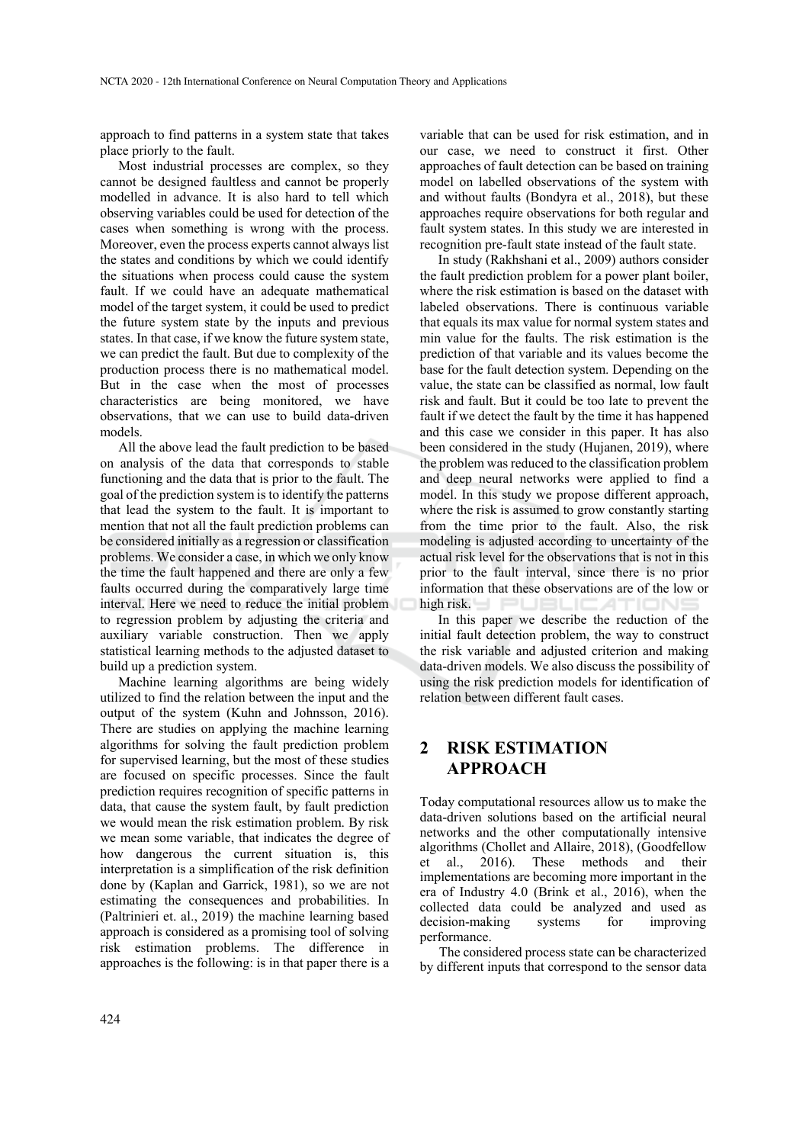approach to find patterns in a system state that takes place priorly to the fault.

Most industrial processes are complex, so they cannot be designed faultless and cannot be properly modelled in advance. It is also hard to tell which observing variables could be used for detection of the cases when something is wrong with the process. Moreover, even the process experts cannot always list the states and conditions by which we could identify the situations when process could cause the system fault. If we could have an adequate mathematical model of the target system, it could be used to predict the future system state by the inputs and previous states. In that case, if we know the future system state, we can predict the fault. But due to complexity of the production process there is no mathematical model. But in the case when the most of processes characteristics are being monitored, we have observations, that we can use to build data-driven models.

All the above lead the fault prediction to be based on analysis of the data that corresponds to stable functioning and the data that is prior to the fault. The goal of the prediction system is to identify the patterns that lead the system to the fault. It is important to mention that not all the fault prediction problems can be considered initially as a regression or classification problems. We consider a case, in which we only know the time the fault happened and there are only a few faults occurred during the comparatively large time interval. Here we need to reduce the initial problem to regression problem by adjusting the criteria and auxiliary variable construction. Then we apply statistical learning methods to the adjusted dataset to build up a prediction system.

Machine learning algorithms are being widely utilized to find the relation between the input and the output of the system (Kuhn and Johnsson, 2016). There are studies on applying the machine learning algorithms for solving the fault prediction problem for supervised learning, but the most of these studies are focused on specific processes. Since the fault prediction requires recognition of specific patterns in data, that cause the system fault, by fault prediction we would mean the risk estimation problem. By risk we mean some variable, that indicates the degree of how dangerous the current situation is, this interpretation is a simplification of the risk definition done by (Kaplan and Garrick, 1981), so we are not estimating the consequences and probabilities. In (Paltrinieri et. al., 2019) the machine learning based approach is considered as a promising tool of solving risk estimation problems. The difference in approaches is the following: is in that paper there is a

variable that can be used for risk estimation, and in our case, we need to construct it first. Other approaches of fault detection can be based on training model on labelled observations of the system with and without faults (Bondyra et al., 2018), but these approaches require observations for both regular and fault system states. In this study we are interested in recognition pre-fault state instead of the fault state.

In study (Rakhshani et al., 2009) authors consider the fault prediction problem for a power plant boiler, where the risk estimation is based on the dataset with labeled observations. There is continuous variable that equals its max value for normal system states and min value for the faults. The risk estimation is the prediction of that variable and its values become the base for the fault detection system. Depending on the value, the state can be classified as normal, low fault risk and fault. But it could be too late to prevent the fault if we detect the fault by the time it has happened and this case we consider in this paper. It has also been considered in the study (Hujanen, 2019), where the problem was reduced to the classification problem and deep neural networks were applied to find a model. In this study we propose different approach, where the risk is assumed to grow constantly starting from the time prior to the fault. Also, the risk modeling is adjusted according to uncertainty of the actual risk level for the observations that is not in this prior to the fault interval, since there is no prior information that these observations are of the low or high risk. PUBLIO

In this paper we describe the reduction of the initial fault detection problem, the way to construct the risk variable and adjusted criterion and making data-driven models. We also discuss the possibility of using the risk prediction models for identification of relation between different fault cases.

### **2 RISK ESTIMATION APPROACH**

Today computational resources allow us to make the data-driven solutions based on the artificial neural networks and the other computationally intensive algorithms (Chollet and Allaire, 2018), (Goodfellow et al., 2016). These methods and their implementations are becoming more important in the era of Industry 4.0 (Brink et al., 2016), when the collected data could be analyzed and used as decision-making systems for improving performance.

The considered process state can be characterized by different inputs that correspond to the sensor data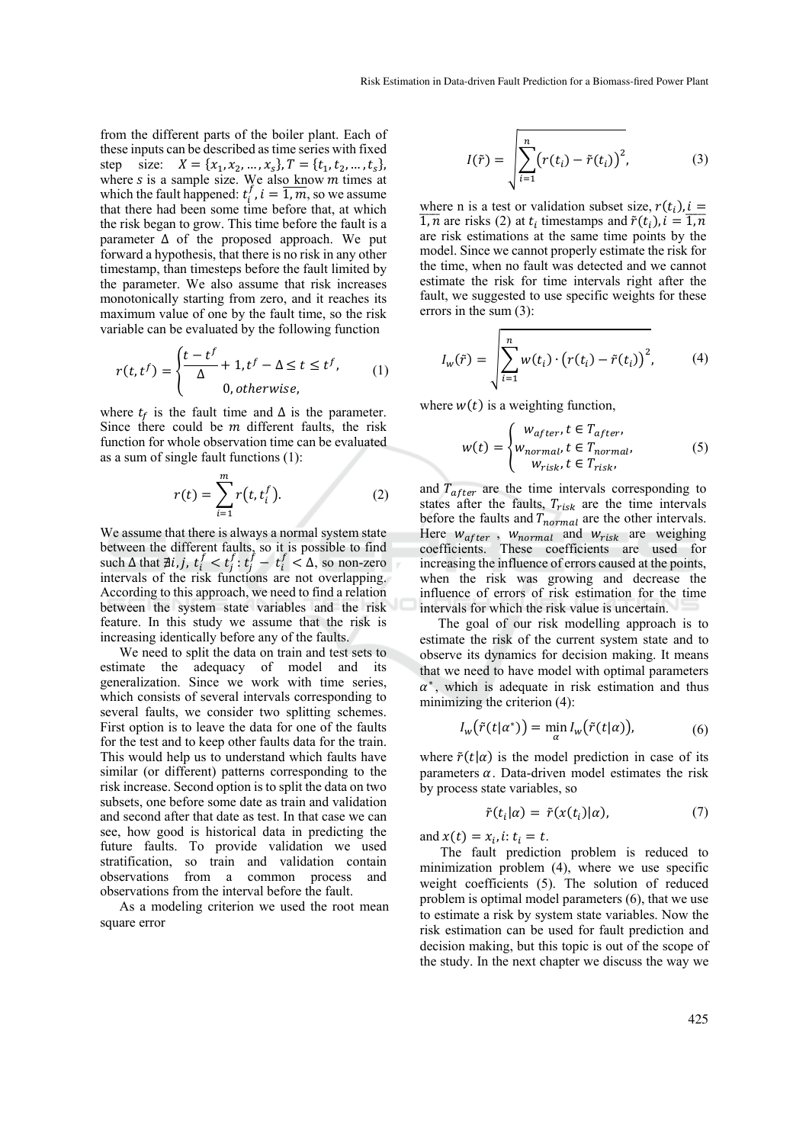from the different parts of the boiler plant. Each of these inputs can be described as time series with fixed step size:  $X = \{x_1, x_2, ..., x_s\}, T = \{t_1, t_2, ..., t_s\},\$ where  $s$  is a sample size. We also know  $m$  times at which the fault happened:  $t_i^f$ ,  $i = \overline{1,m}$ , so we assume that there had been some time before that, at which the risk began to grow. This time before the fault is a parameter  $\Delta$  of the proposed approach. We put forward a hypothesis, that there is no risk in any other timestamp, than timesteps before the fault limited by the parameter. We also assume that risk increases monotonically starting from zero, and it reaches its maximum value of one by the fault time, so the risk variable can be evaluated by the following function

$$
r(t, t^f) = \begin{cases} \frac{t - t^f}{\Delta} + 1, t^f - \Delta \le t \le t^f, \\ 0, \text{otherwise}, \end{cases} (1)
$$

where  $t_f$  is the fault time and  $\Delta$  is the parameter. Since there could be  *different faults, the risk* function for whole observation time can be evaluated as a sum of single fault functions (1):

$$
r(t) = \sum_{i=1}^{m} r(t, t_i^f).
$$
 (2)

We assume that there is always a normal system state between the different faults, so it is possible to find such  $\Delta$  that  $\exists i, j, t_i^f < t_j^f : t_j^f - t_i^f < \Delta$ , so non-zero intervals of the risk functions are not overlapping. According to this approach, we need to find a relation between the system state variables and the risk feature. In this study we assume that the risk is increasing identically before any of the faults.

We need to split the data on train and test sets to estimate the adequacy of model and its generalization. Since we work with time series, which consists of several intervals corresponding to several faults, we consider two splitting schemes. First option is to leave the data for one of the faults for the test and to keep other faults data for the train. This would help us to understand which faults have similar (or different) patterns corresponding to the risk increase. Second option is to split the data on two subsets, one before some date as train and validation and second after that date as test. In that case we can see, how good is historical data in predicting the future faults. To provide validation we used stratification, so train and validation contain observations from a common process and observations from the interval before the fault.

As a modeling criterion we used the root mean square error

$$
I(\tilde{r}) = \sqrt{\sum_{i=1}^{n} (r(t_i) - \tilde{r}(t_i))^2},
$$
 (3)

where n is a test or validation subset size,  $r(t_i)$ ,  $i =$  $\overline{1,n}$  are risks (2) at  $t_i$  timestamps and  $\tilde{r}(t_i)$ ,  $i = \overline{1,n}$ are risk estimations at the same time points by the model. Since we cannot properly estimate the risk for the time, when no fault was detected and we cannot estimate the risk for time intervals right after the fault, we suggested to use specific weights for these errors in the sum (3):

$$
I_w(\tilde{r}) = \sqrt{\sum_{i=1}^n w(t_i) \cdot (r(t_i) - \tilde{r}(t_i))^2},
$$
 (4)

where  $w(t)$  is a weighting function,

$$
w(t) = \begin{cases} w_{after}, t \in T_{after}, \\ w_{normal}, t \in T_{normal}, \\ w_{risk}, t \in T_{risk}, \end{cases}
$$
 (5)

and  $T_{after}$  are the time intervals corresponding to states after the faults,  $T_{risk}$  are the time intervals before the faults and  $T_{normal}$  are the other intervals. Here  $w_{after}$ ,  $w_{normal}$  and  $w_{risk}$  are weighing coefficients. These coefficients are used for increasing the influence of errors caused at the points, when the risk was growing and decrease the influence of errors of risk estimation for the time intervals for which the risk value is uncertain.

The goal of our risk modelling approach is to estimate the risk of the current system state and to observe its dynamics for decision making. It means that we need to have model with optimal parameters  $\alpha^*$ , which is adequate in risk estimation and thus minimizing the criterion (4):

$$
I_w(\tilde{r}(t|\alpha^*)) = \min_{\alpha} I_w(\tilde{r}(t|\alpha)), \tag{6}
$$

where  $\tilde{r}(t|\alpha)$  is the model prediction in case of its parameters  $\alpha$ . Data-driven model estimates the risk by process state variables, so

$$
\tilde{r}(t_i|\alpha) = \tilde{r}(x(t_i)|\alpha), \tag{7}
$$

and  $x(t) = x_i$ , i:  $t_i = t$ .

The fault prediction problem is reduced to minimization problem (4), where we use specific weight coefficients (5). The solution of reduced problem is optimal model parameters (6), that we use to estimate a risk by system state variables. Now the risk estimation can be used for fault prediction and decision making, but this topic is out of the scope of the study. In the next chapter we discuss the way we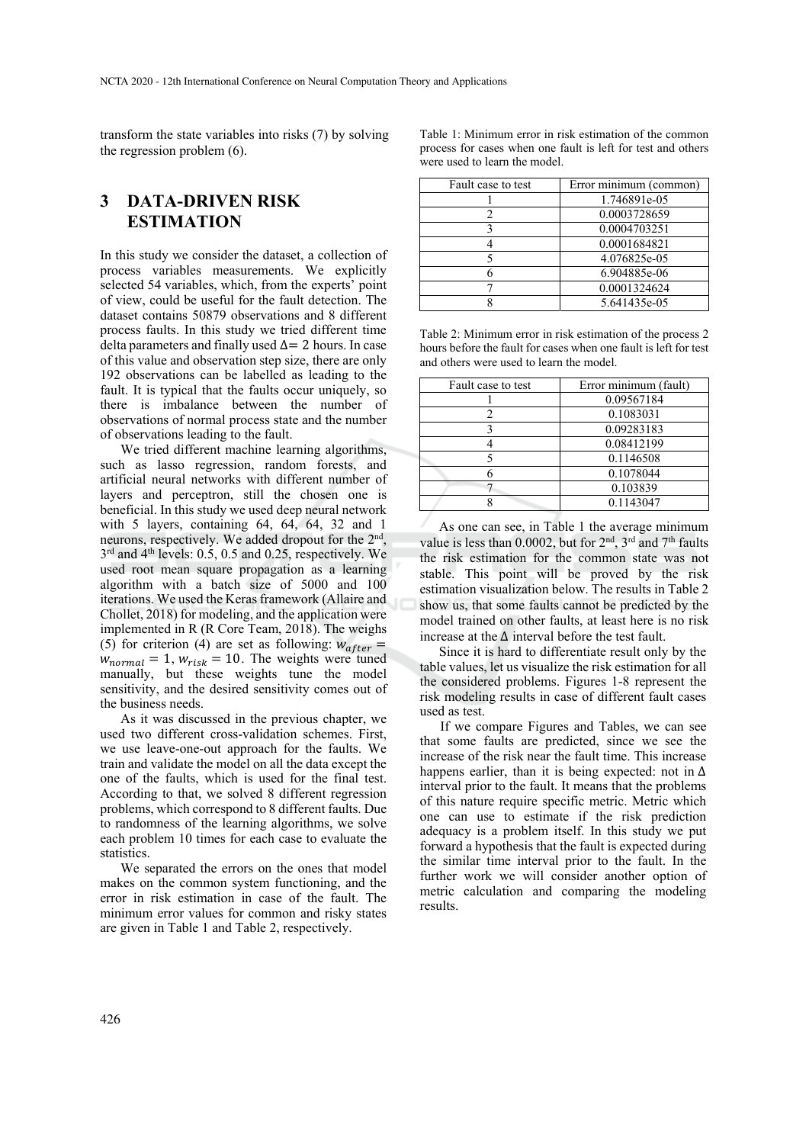transform the state variables into risks (7) by solving the regression problem (6).

## **3 DATA-DRIVEN RISK ESTIMATION**

In this study we consider the dataset, a collection of process variables measurements. We explicitly selected 54 variables, which, from the experts' point of view, could be useful for the fault detection. The dataset contains 50879 observations and 8 different process faults. In this study we tried different time delta parameters and finally used  $\Delta$  = 2 hours. In case of this value and observation step size, there are only 192 observations can be labelled as leading to the fault. It is typical that the faults occur uniquely, so there is imbalance between the number of observations of normal process state and the number of observations leading to the fault.

We tried different machine learning algorithms, such as lasso regression, random forests, and artificial neural networks with different number of layers and perceptron, still the chosen one is beneficial. In this study we used deep neural network with 5 layers, containing 64, 64, 64, 32 and 1 neurons, respectively. We added dropout for the 2nd, 3<sup>rd</sup> and 4<sup>th</sup> levels: 0.5, 0.5 and 0.25, respectively. We used root mean square propagation as a learning algorithm with a batch size of 5000 and 100 iterations. We used the Keras framework (Allaire and Chollet, 2018) for modeling, and the application were implemented in R (R Core Team, 2018). The weighs (5) for criterion (4) are set as following:  $w_{after}$  =  $w_{normal} = 1$ ,  $w_{risk} = 10$ . The weights were tuned manually, but these weights tune the model sensitivity, and the desired sensitivity comes out of the business needs.

As it was discussed in the previous chapter, we used two different cross-validation schemes. First, we use leave-one-out approach for the faults. We train and validate the model on all the data except the one of the faults, which is used for the final test. According to that, we solved 8 different regression problems, which correspond to 8 different faults. Due to randomness of the learning algorithms, we solve each problem 10 times for each case to evaluate the statistics.

We separated the errors on the ones that model makes on the common system functioning, and the error in risk estimation in case of the fault. The minimum error values for common and risky states are given in Table 1 and Table 2, respectively.

| Table 1: Minimum error in risk estimation of the common      |  |  |
|--------------------------------------------------------------|--|--|
| process for cases when one fault is left for test and others |  |  |
| were used to learn the model.                                |  |  |

| Fault case to test | Error minimum (common) |
|--------------------|------------------------|
|                    | 1.746891e-05           |
|                    | 0.0003728659           |
| 3                  | 0.0004703251           |
|                    | 0.0001684821           |
|                    | 4.076825e-05           |
|                    | 6.904885e-06           |
|                    | 0.0001324624           |
|                    | 5.641435e-05           |

Table 2: Minimum error in risk estimation of the process 2 hours before the fault for cases when one fault is left for test and others were used to learn the model.

| Fault case to test | Error minimum (fault) |
|--------------------|-----------------------|
|                    | 0.09567184            |
|                    | 0.1083031             |
|                    | 0.09283183            |
|                    | 0.08412199            |
|                    | 0.1146508             |
|                    | 0.1078044             |
|                    | 0.103839              |
|                    | 0.1143047             |

As one can see, in Table 1 the average minimum value is less than 0.0002, but for  $2<sup>nd</sup>$ ,  $3<sup>rd</sup>$  and  $7<sup>th</sup>$  faults the risk estimation for the common state was not stable. This point will be proved by the risk estimation visualization below. The results in Table 2 show us, that some faults cannot be predicted by the model trained on other faults, at least here is no risk increase at the ∆ interval before the test fault.

Since it is hard to differentiate result only by the table values, let us visualize the risk estimation for all the considered problems. Figures 1-8 represent the risk modeling results in case of different fault cases used as test.

If we compare Figures and Tables, we can see that some faults are predicted, since we see the increase of the risk near the fault time. This increase happens earlier, than it is being expected: not in  $\Delta$ interval prior to the fault. It means that the problems of this nature require specific metric. Metric which one can use to estimate if the risk prediction adequacy is a problem itself. In this study we put forward a hypothesis that the fault is expected during the similar time interval prior to the fault. In the further work we will consider another option of metric calculation and comparing the modeling results.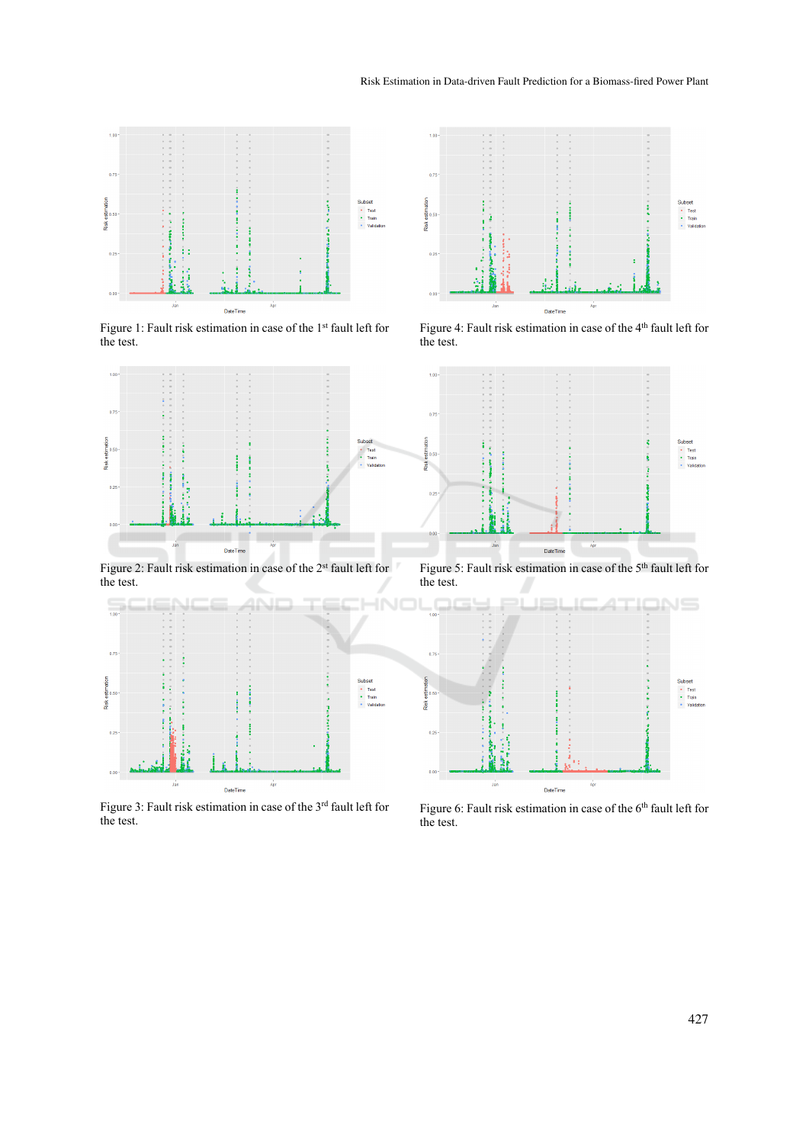

Figure 1: Fault risk estimation in case of the 1<sup>st</sup> fault left for the test.



Figure 2: Fault risk estimation in case of the 2<sup>st</sup> fault left for the test.



Figure 3: Fault risk estimation in case of the 3<sup>rd</sup> fault left for the test.



Figure 4: Fault risk estimation in case of the 4<sup>th</sup> fault left for the test.



Figure 5: Fault risk estimation in case of the 5<sup>th</sup> fault left for the test.



Figure 6: Fault risk estimation in case of the  $6<sup>th</sup>$  fault left for the test.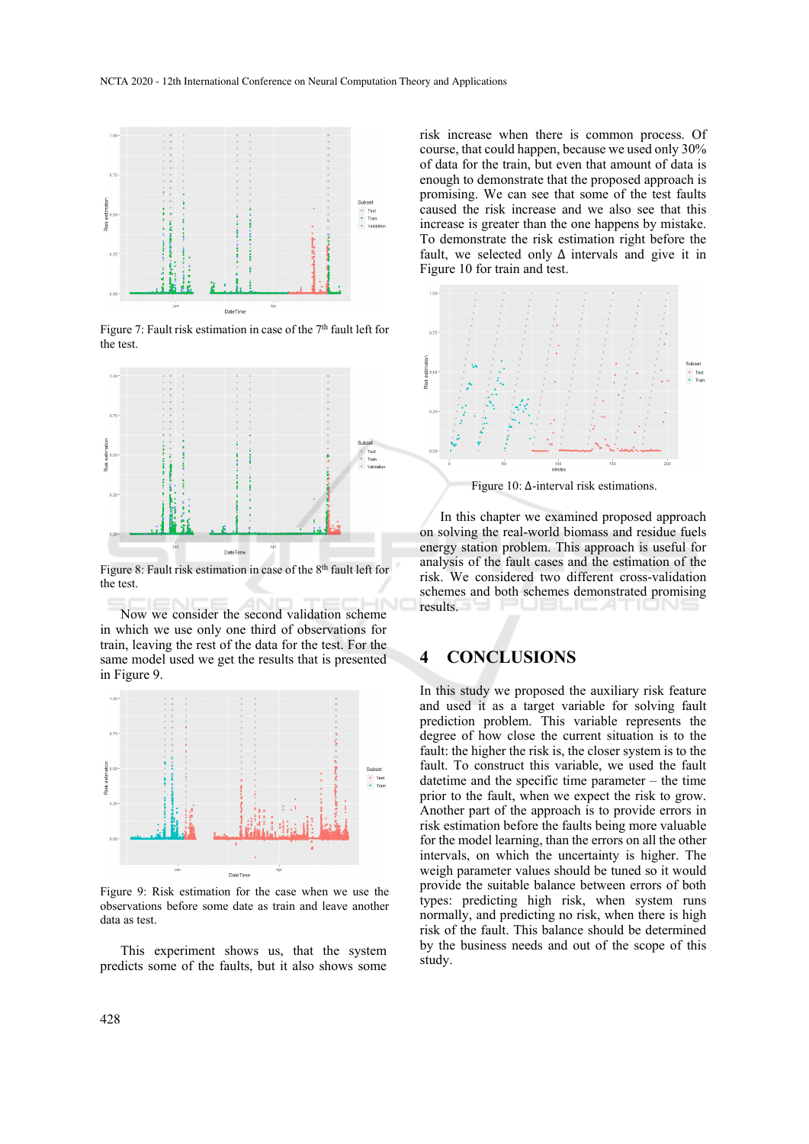

Figure 7: Fault risk estimation in case of the 7<sup>th</sup> fault left for the test.



Figure 8: Fault risk estimation in case of the 8<sup>th</sup> fault left for the test.

Now we consider the second validation scheme in which we use only one third of observations for train, leaving the rest of the data for the test. For the same model used we get the results that is presented in Figure 9.



Figure 9: Risk estimation for the case when we use the observations before some date as train and leave another data as test.

This experiment shows us, that the system predicts some of the faults, but it also shows some

risk increase when there is common process. Of course, that could happen, because we used only 30% of data for the train, but even that amount of data is enough to demonstrate that the proposed approach is promising. We can see that some of the test faults caused the risk increase and we also see that this increase is greater than the one happens by mistake. To demonstrate the risk estimation right before the fault, we selected only  $\Delta$  intervals and give it in Figure 10 for train and test.



Figure 10: ∆-interval risk estimations.

In this chapter we examined proposed approach on solving the real-world biomass and residue fuels energy station problem. This approach is useful for analysis of the fault cases and the estimation of the risk. We considered two different cross-validation schemes and both schemes demonstrated promising results.

#### **4 CONCLUSIONS**

In this study we proposed the auxiliary risk feature and used it as a target variable for solving fault prediction problem. This variable represents the degree of how close the current situation is to the fault: the higher the risk is, the closer system is to the fault. To construct this variable, we used the fault datetime and the specific time parameter – the time prior to the fault, when we expect the risk to grow. Another part of the approach is to provide errors in risk estimation before the faults being more valuable for the model learning, than the errors on all the other intervals, on which the uncertainty is higher. The weigh parameter values should be tuned so it would provide the suitable balance between errors of both types: predicting high risk, when system runs normally, and predicting no risk, when there is high risk of the fault. This balance should be determined by the business needs and out of the scope of this study.